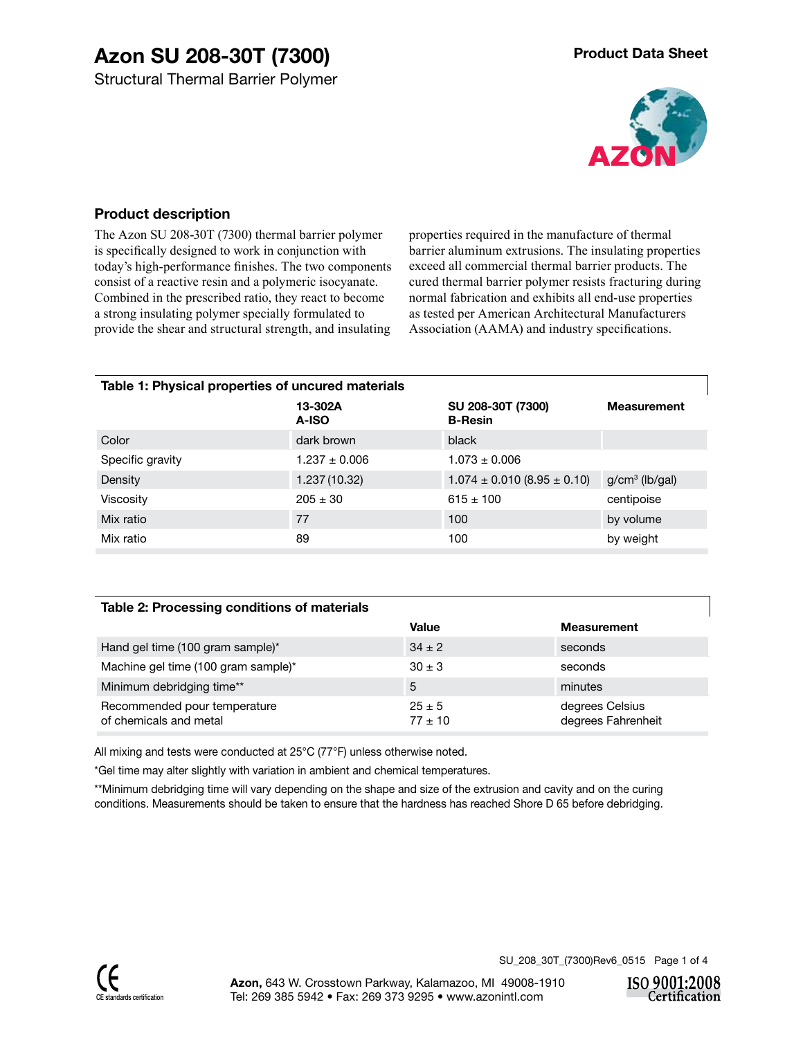#### **Product description**

The Azon SU 208-30T (7300) thermal barrier polymer is specifically designed to work in conjunction with today's high-performance finishes. The two components consist of a reactive resin and a polymeric isocyanate. Combined in the prescribed ratio, they react to become a strong insulating polymer specially formulated to provide the shear and structural strength, and insulating

properties required in the manufacture of thermal barrier aluminum extrusions. The insulating properties exceed all commercial thermal barrier products. The cured thermal barrier polymer resists fracturing during normal fabrication and exhibits all end-use properties as tested per American Architectural Manufacturers Association (AAMA) and industry specifications.

| Table 1: Physical properties of uncured materials |                   |                                     |                    |  |  |  |
|---------------------------------------------------|-------------------|-------------------------------------|--------------------|--|--|--|
|                                                   | 13-302A<br>A-ISO  | SU 208-30T (7300)<br><b>B-Resin</b> | <b>Measurement</b> |  |  |  |
| Color                                             | dark brown        | black                               |                    |  |  |  |
| Specific gravity                                  | $1.237 \pm 0.006$ | $1.073 \pm 0.006$                   |                    |  |  |  |
| Density                                           | 1.237 (10.32)     | $1.074 \pm 0.010$ (8.95 $\pm$ 0.10) | $g/cm3$ (lb/gal)   |  |  |  |
| Viscosity                                         | $205 \pm 30$      | $615 \pm 100$                       | centipoise         |  |  |  |
| Mix ratio                                         | 77                | 100                                 | by volume          |  |  |  |
| Mix ratio                                         | 89                | 100                                 | by weight          |  |  |  |

#### **Table 2: Processing conditions of materials**

|                                                        | Value                     | <b>Measurement</b>                    |
|--------------------------------------------------------|---------------------------|---------------------------------------|
| Hand gel time (100 gram sample)*                       | $34 \pm 2$                | seconds                               |
| Machine gel time (100 gram sample)*                    | $30 \pm 3$                | seconds                               |
| Minimum debridging time**                              | 5                         | minutes                               |
| Recommended pour temperature<br>of chemicals and metal | $25 \pm 5$<br>$77 \pm 10$ | degrees Celsius<br>degrees Fahrenheit |

All mixing and tests were conducted at 25°C (77°F) unless otherwise noted.

\*Gel time may alter slightly with variation in ambient and chemical temperatures.

\*\*Minimum debridging time will vary depending on the shape and size of the extrusion and cavity and on the curing conditions. Measurements should be taken to ensure that the hardness has reached Shore D 65 before debridging.

SU\_208\_30T\_(7300)Rev6\_0515 Page 1 of 4

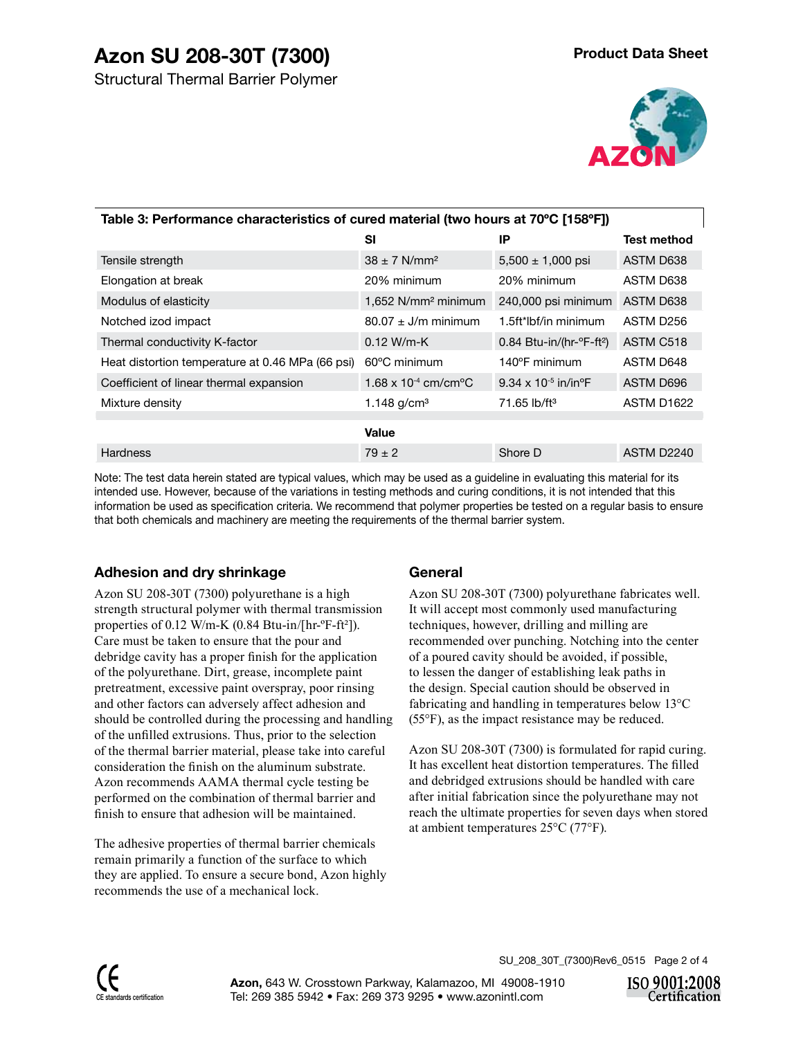# **Azon SU 208-30T (7300)**



| Table 3: Performance characteristics of cured material (two hours at 70°C [158°F]) |                                            |                                                      |                        |  |  |  |  |
|------------------------------------------------------------------------------------|--------------------------------------------|------------------------------------------------------|------------------------|--|--|--|--|
|                                                                                    | SI                                         | IP                                                   | <b>Test method</b>     |  |  |  |  |
| Tensile strength                                                                   | $38 \pm 7$ N/mm <sup>2</sup>               | $5,500 \pm 1,000$ psi                                | ASTM D638              |  |  |  |  |
| Elongation at break                                                                | 20% minimum                                | 20% minimum                                          | ASTM D638              |  |  |  |  |
| Modulus of elasticity                                                              | 1,652 N/mm <sup>2</sup> minimum            | 240,000 psi minimum                                  | ASTM D638              |  |  |  |  |
| Notched izod impact                                                                | $80.07 \pm J/m$ minimum                    | 1.5ft*lbf/in minimum                                 | ASTM D256              |  |  |  |  |
| Thermal conductivity K-factor                                                      | $0.12 W/m-K$                               | $0.84$ Btu-in/(hr- $\textdegree$ F-ft <sup>2</sup> ) | ASTM C518              |  |  |  |  |
| Heat distortion temperature at 0.46 MPa (66 psi)                                   | $60^{\circ}$ C minimum                     | 140°F minimum                                        | ASTM D648              |  |  |  |  |
| Coefficient of linear thermal expansion                                            | $1.68 \times 10^{-4}$ cm/cm <sup>o</sup> C | 9.34 x 10 <sup>-5</sup> in/in <sup>o</sup> F         | ASTM D696              |  |  |  |  |
| Mixture density                                                                    | 1.148 $g/cm3$                              | $71.65$ lb/ft <sup>3</sup>                           | ASTM D <sub>1622</sub> |  |  |  |  |
|                                                                                    | Value                                      |                                                      |                        |  |  |  |  |
| <b>Hardness</b>                                                                    | $79 \pm 2$                                 | Shore D                                              | ASTM D2240             |  |  |  |  |

Note: The test data herein stated are typical values, which may be used as a guideline in evaluating this material for its intended use. However, because of the variations in testing methods and curing conditions, it is not intended that this information be used as specification criteria. We recommend that polymer properties be tested on a regular basis to ensure that both chemicals and machinery are meeting the requirements of the thermal barrier system.

# **Adhesion and dry shrinkage**

Azon SU 208-30T (7300) polyurethane is a high strength structural polymer with thermal transmission properties of 0.12 W/m-K (0.84 Btu-in/[hr-ºF-ft²]). Care must be taken to ensure that the pour and debridge cavity has a proper finish for the application of the polyurethane. Dirt, grease, incomplete paint pretreatment, excessive paint overspray, poor rinsing and other factors can adversely affect adhesion and should be controlled during the processing and handling of the unfilled extrusions. Thus, prior to the selection of the thermal barrier material, please take into careful consideration the finish on the aluminum substrate. Azon recommends AAMA thermal cycle testing be performed on the combination of thermal barrier and finish to ensure that adhesion will be maintained.

The adhesive properties of thermal barrier chemicals remain primarily a function of the surface to which they are applied. To ensure a secure bond, Azon highly recommends the use of a mechanical lock.

### **General**

Azon SU 208-30T (7300) polyurethane fabricates well. It will accept most commonly used manufacturing techniques, however, drilling and milling are recommended over punching. Notching into the center of a poured cavity should be avoided, if possible, to lessen the danger of establishing leak paths in the design. Special caution should be observed in fabricating and handling in temperatures below 13°C (55°F), as the impact resistance may be reduced.

Azon SU 208-30T (7300) is formulated for rapid curing. It has excellent heat distortion temperatures. The filled and debridged extrusions should be handled with care after initial fabrication since the polyurethane may not reach the ultimate properties for seven days when stored at ambient temperatures 25°C (77°F).

SU\_208\_30T\_(7300)Rev6\_0515 Page 2 of 4

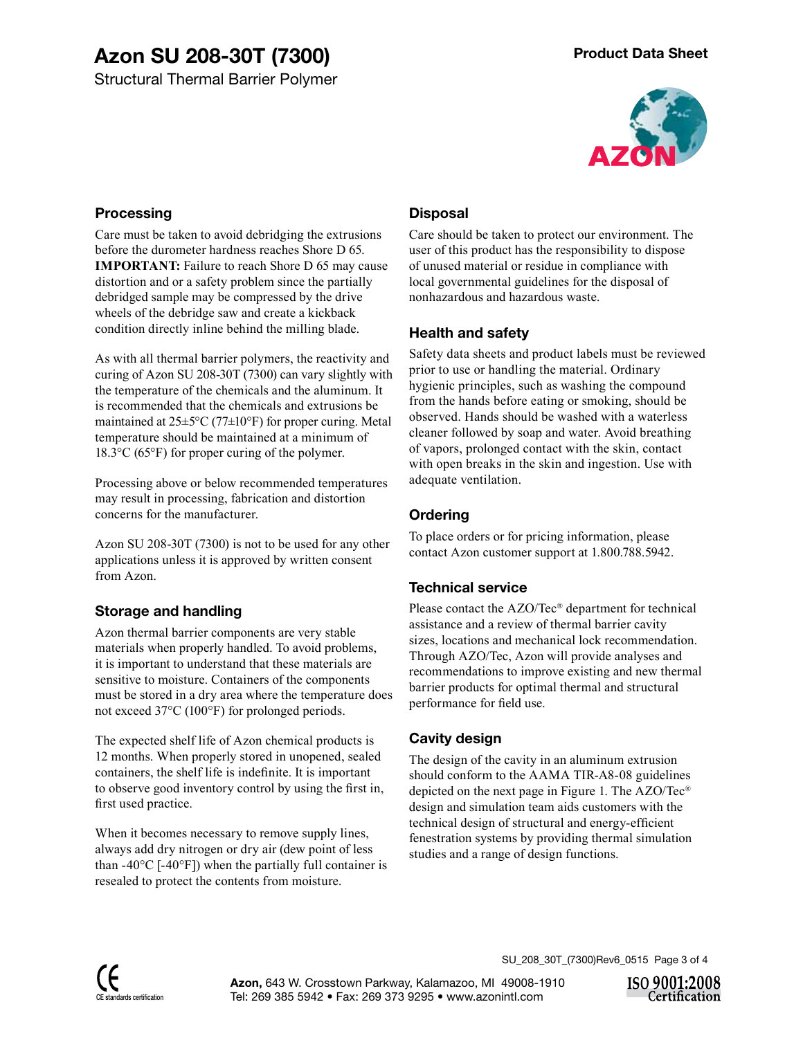Structural Thermal Barrier Polymer



#### **Processing**

Care must be taken to avoid debridging the extrusions before the durometer hardness reaches Shore D 65. **IMPORTANT:** Failure to reach Shore D 65 may cause distortion and or a safety problem since the partially debridged sample may be compressed by the drive wheels of the debridge saw and create a kickback condition directly inline behind the milling blade.

As with all thermal barrier polymers, the reactivity and curing of Azon SU 208-30T (7300) can vary slightly with the temperature of the chemicals and the aluminum. It is recommended that the chemicals and extrusions be maintained at  $25\pm5\degree C$  (77 $\pm10\degree F$ ) for proper curing. Metal temperature should be maintained at a minimum of 18.3°C (65°F) for proper curing of the polymer.

Processing above or below recommended temperatures may result in processing, fabrication and distortion concerns for the manufacturer.

Azon SU 208-30T (7300) is not to be used for any other applications unless it is approved by written consent from Azon.

### **Storage and handling**

Azon thermal barrier components are very stable materials when properly handled. To avoid problems, it is important to understand that these materials are sensitive to moisture. Containers of the components must be stored in a dry area where the temperature does not exceed 37°C (100°F) for prolonged periods.

The expected shelf life of Azon chemical products is 12 months. When properly stored in unopened, sealed containers, the shelf life is indefinite. It is important to observe good inventory control by using the first in, first used practice.

When it becomes necessary to remove supply lines, always add dry nitrogen or dry air (dew point of less than -40 $^{\circ}$ C [-40 $^{\circ}$ F]) when the partially full container is resealed to protect the contents from moisture.

## **Disposal**

Care should be taken to protect our environment. The user of this product has the responsibility to dispose of unused material or residue in compliance with local governmental guidelines for the disposal of nonhazardous and hazardous waste.

### **Health and safety**

Safety data sheets and product labels must be reviewed prior to use or handling the material. Ordinary hygienic principles, such as washing the compound from the hands before eating or smoking, should be observed. Hands should be washed with a waterless cleaner followed by soap and water. Avoid breathing of vapors, prolonged contact with the skin, contact with open breaks in the skin and ingestion. Use with adequate ventilation.

## **Ordering**

To place orders or for pricing information, please contact Azon customer support at 1.800.788.5942.

### **Technical service**

Please contact the AZO/Tec® department for technical assistance and a review of thermal barrier cavity sizes, locations and mechanical lock recommendation. Through AZO/Tec, Azon will provide analyses and recommendations to improve existing and new thermal barrier products for optimal thermal and structural performance for field use.

### **Cavity design**

The design of the cavity in an aluminum extrusion should conform to the AAMA TIR-A8-08 guidelines depicted on the next page in Figure 1. The AZO/Tec® design and simulation team aids customers with the technical design of structural and energy-efficient fenestration systems by providing thermal simulation studies and a range of design functions.

SU\_208\_30T\_(7300)Rev6\_0515 Page 3 of 4